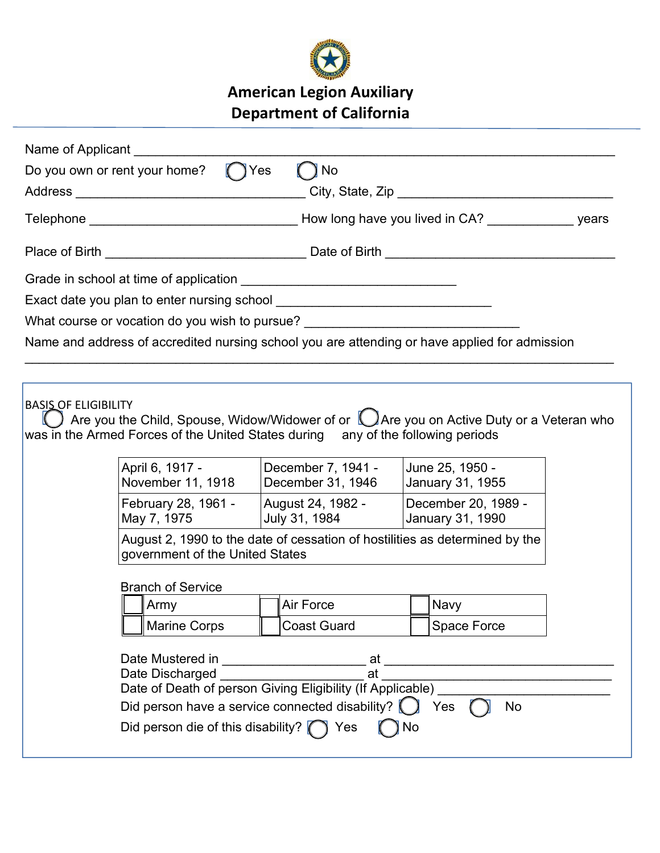

## American Legion Auxiliary Department of California

| Name of Applicant |                                                                                         |                                                                                                                                                                                       |                                                                                                                                                                                                                                                                          |  |
|-------------------|-----------------------------------------------------------------------------------------|---------------------------------------------------------------------------------------------------------------------------------------------------------------------------------------|--------------------------------------------------------------------------------------------------------------------------------------------------------------------------------------------------------------------------------------------------------------------------|--|
|                   | Do you own or rent your home? Tyes                                                      | ) No                                                                                                                                                                                  |                                                                                                                                                                                                                                                                          |  |
|                   |                                                                                         |                                                                                                                                                                                       |                                                                                                                                                                                                                                                                          |  |
|                   |                                                                                         |                                                                                                                                                                                       |                                                                                                                                                                                                                                                                          |  |
|                   |                                                                                         |                                                                                                                                                                                       |                                                                                                                                                                                                                                                                          |  |
|                   |                                                                                         |                                                                                                                                                                                       |                                                                                                                                                                                                                                                                          |  |
|                   |                                                                                         |                                                                                                                                                                                       |                                                                                                                                                                                                                                                                          |  |
|                   |                                                                                         | What course or vocation do you wish to pursue? _________________________________                                                                                                      |                                                                                                                                                                                                                                                                          |  |
|                   |                                                                                         |                                                                                                                                                                                       | Name and address of accredited nursing school you are attending or have applied for admission                                                                                                                                                                            |  |
|                   |                                                                                         |                                                                                                                                                                                       |                                                                                                                                                                                                                                                                          |  |
|                   | April 6, 1917 -<br>November 11, 1918<br>May 7, 1975<br>government of the United States  | was in the Armed Forces of the United States during any of the following periods<br>December 7, 1941 -<br>December 31, 1946<br>February 28, 1961 - August 24, 1982 -<br>July 31, 1984 | $\,$ Are you the Child, Spouse, Widow/Widower of or $\,$ $\Box$ Are you on Active Duty or a Veteran who<br>June 25, 1950 -<br>January 31, 1955<br>December 20, 1989 -<br>January 31, 1990<br>August 2, 1990 to the date of cessation of hostilities as determined by the |  |
|                   | <b>Branch of Service</b><br>Army                                                        | Air Force                                                                                                                                                                             | Navy                                                                                                                                                                                                                                                                     |  |
|                   | <b>Marine Corps</b>                                                                     | Coast Guard                                                                                                                                                                           | Space Force                                                                                                                                                                                                                                                              |  |
|                   | Date Mustered in<br>Date Discharged<br>Did person die of this disability? $\bigcap$ Yes | at<br>at<br>Date of Death of person Giving Eligibility (If Applicable)                                                                                                                | Yes<br>No<br>No                                                                                                                                                                                                                                                          |  |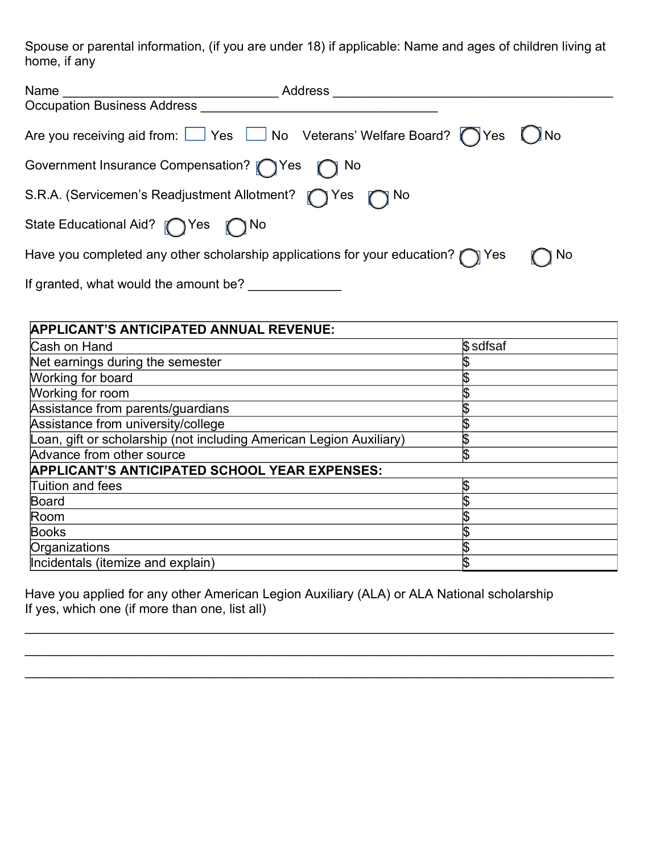Spouse or parental information, (if you are under 18) if applicable: Name and ages of children living at home, if any

| Name<br>Address                                                                         |                        |
|-----------------------------------------------------------------------------------------|------------------------|
| <b>Occupation Business Address</b>                                                      |                        |
| Are you receiving aid from: Ves Mo Veterans' Welfare Board? Thes                        | $\bigcup$ $\bigcup$ No |
| Government Insurance Compensation? TYes T No                                            |                        |
| S.R.A. (Servicemen's Readjustment Allotment? no Yes no No                               |                        |
| State Educational Aid? (State Mo                                                        |                        |
| Have you completed any other scholarship applications for your education? $\bigcap$ Yes | ] No                   |
| If granted, what would the amount be?                                                   |                        |

| <b>APPLICANT'S ANTICIPATED ANNUAL REVENUE:</b>                      |          |  |  |  |
|---------------------------------------------------------------------|----------|--|--|--|
| Cash on Hand                                                        | \$sdfsaf |  |  |  |
| Net earnings during the semester                                    |          |  |  |  |
| Working for board                                                   |          |  |  |  |
| Working for room                                                    |          |  |  |  |
| Assistance from parents/guardians                                   |          |  |  |  |
| Assistance from university/college                                  |          |  |  |  |
| Loan, gift or scholarship (not including American Legion Auxiliary) |          |  |  |  |
| Advance from other source                                           |          |  |  |  |
| <b>APPLICANT'S ANTICIPATED SCHOOL YEAR EXPENSES:</b>                |          |  |  |  |
| Tuition and fees                                                    |          |  |  |  |
| Board                                                               |          |  |  |  |
| Room                                                                |          |  |  |  |
| <b>Books</b>                                                        |          |  |  |  |
| Organizations                                                       |          |  |  |  |
| Incidentals (itemize and explain)                                   |          |  |  |  |

\_\_\_\_\_\_\_\_\_\_\_\_\_\_\_\_\_\_\_\_\_\_\_\_\_\_\_\_\_\_\_\_\_\_\_\_\_\_\_\_\_\_\_\_\_\_\_\_\_\_\_\_\_\_\_\_\_\_\_\_\_\_\_\_\_\_\_\_\_\_\_\_\_\_\_\_\_\_\_\_\_\_

Have you applied for any other American Legion Auxiliary (ALA) or ALA National scholarship If yes, which one (if more than one, list all)

 $\_$  , and the contribution of the contribution of the contribution of the contribution of  $\mathcal{L}_\mathcal{A}$